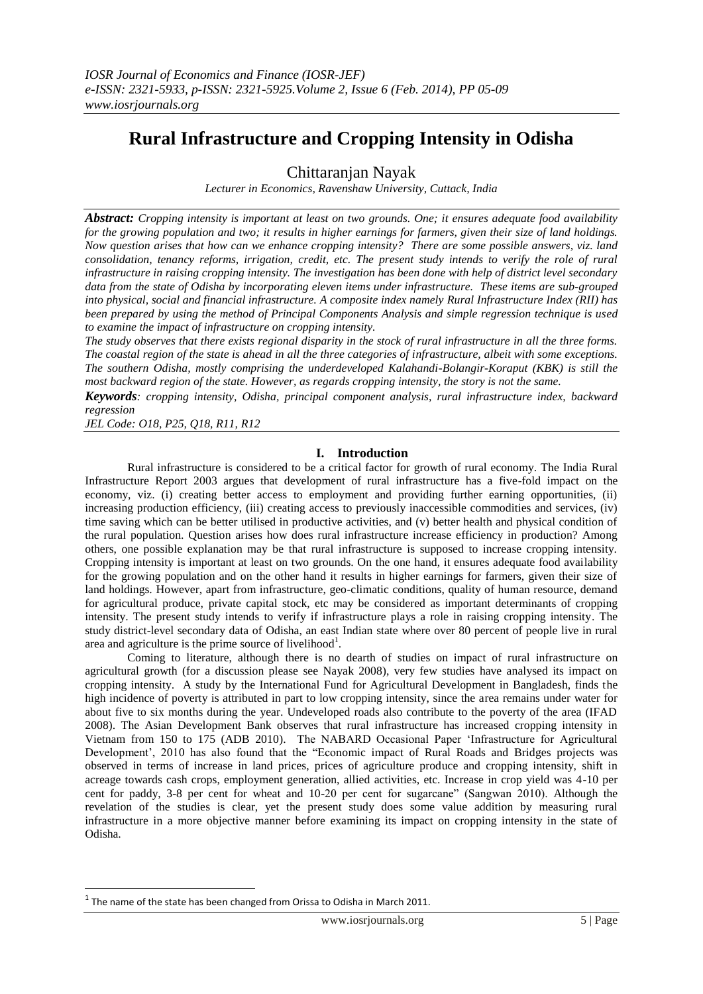# **Rural Infrastructure and Cropping Intensity in Odisha**

Chittaranjan Nayak

*Lecturer in Economics, Ravenshaw University, Cuttack, India*

*Abstract: Cropping intensity is important at least on two grounds. One; it ensures adequate food availability for the growing population and two; it results in higher earnings for farmers, given their size of land holdings. Now question arises that how can we enhance cropping intensity? There are some possible answers, viz. land consolidation, tenancy reforms, irrigation, credit, etc. The present study intends to verify the role of rural infrastructure in raising cropping intensity. The investigation has been done with help of district level secondary data from the state of Odisha by incorporating eleven items under infrastructure. These items are sub-grouped into physical, social and financial infrastructure. A composite index namely Rural Infrastructure Index (RII) has been prepared by using the method of Principal Components Analysis and simple regression technique is used to examine the impact of infrastructure on cropping intensity.*

*The study observes that there exists regional disparity in the stock of rural infrastructure in all the three forms. The coastal region of the state is ahead in all the three categories of infrastructure, albeit with some exceptions. The southern Odisha, mostly comprising the underdeveloped Kalahandi-Bolangir-Koraput (KBK) is still the most backward region of the state. However, as regards cropping intensity, the story is not the same.* 

*Keywords: cropping intensity, Odisha, principal component analysis, rural infrastructure index, backward regression*

*JEL Code: O18, P25, Q18, R11, R12*

# **I. Introduction**

Rural infrastructure is considered to be a critical factor for growth of rural economy. The India Rural Infrastructure Report 2003 argues that development of rural infrastructure has a five-fold impact on the economy, viz. (i) creating better access to employment and providing further earning opportunities, (ii) increasing production efficiency, (iii) creating access to previously inaccessible commodities and services, (iv) time saving which can be better utilised in productive activities, and (v) better health and physical condition of the rural population. Question arises how does rural infrastructure increase efficiency in production? Among others, one possible explanation may be that rural infrastructure is supposed to increase cropping intensity. Cropping intensity is important at least on two grounds. On the one hand, it ensures adequate food availability for the growing population and on the other hand it results in higher earnings for farmers, given their size of land holdings. However, apart from infrastructure, geo-climatic conditions, quality of human resource, demand for agricultural produce, private capital stock, etc may be considered as important determinants of cropping intensity. The present study intends to verify if infrastructure plays a role in raising cropping intensity. The study district-level secondary data of Odisha, an east Indian state where over 80 percent of people live in rural area and agriculture is the prime source of livelihood<sup>1</sup>.

Coming to literature, although there is no dearth of studies on impact of rural infrastructure on agricultural growth (for a discussion please see Nayak 2008), very few studies have analysed its impact on cropping intensity. A study by the International Fund for Agricultural Development in Bangladesh, finds the high incidence of poverty is attributed in part to low cropping intensity, since the area remains under water for about five to six months during the year. Undeveloped roads also contribute to the poverty of the area (IFAD 2008). The Asian Development Bank observes that rural infrastructure has increased cropping intensity in Vietnam from 150 to 175 (ADB 2010). The NABARD Occasional Paper "Infrastructure for Agricultural Development', 2010 has also found that the "Economic impact of Rural Roads and Bridges projects was observed in terms of increase in land prices, prices of agriculture produce and cropping intensity, shift in acreage towards cash crops, employment generation, allied activities, etc. Increase in crop yield was 4-10 per cent for paddy, 3-8 per cent for wheat and 10-20 per cent for sugarcane" (Sangwan 2010). Although the revelation of the studies is clear, yet the present study does some value addition by measuring rural infrastructure in a more objective manner before examining its impact on cropping intensity in the state of Odisha.

**.** 

<sup>1</sup> The name of the state has been changed from Orissa to Odisha in March 2011.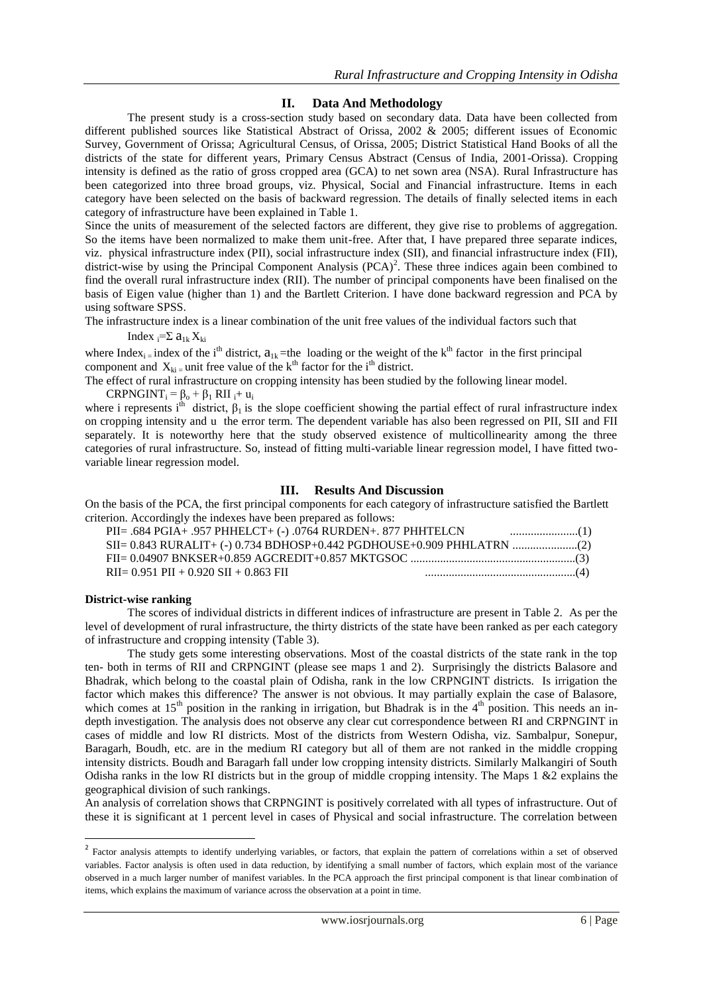# **II. Data And Methodology**

The present study is a cross-section study based on secondary data. Data have been collected from different published sources like Statistical Abstract of Orissa, 2002 & 2005; different issues of Economic Survey, Government of Orissa; Agricultural Census, of Orissa, 2005; District Statistical Hand Books of all the districts of the state for different years, Primary Census Abstract (Census of India, 2001-Orissa). Cropping intensity is defined as the ratio of gross cropped area (GCA) to net sown area (NSA). Rural Infrastructure has been categorized into three broad groups, viz. Physical, Social and Financial infrastructure. Items in each category have been selected on the basis of backward regression. The details of finally selected items in each category of infrastructure have been explained in Table 1.

Since the units of measurement of the selected factors are different, they give rise to problems of aggregation. So the items have been normalized to make them unit-free. After that, I have prepared three separate indices, viz. physical infrastructure index (PII), social infrastructure index (SII), and financial infrastructure index (FII), district-wise by using the Principal Component Analysis  $(PCA)^2$ . These three indices again been combined to find the overall rural infrastructure index (RII). The number of principal components have been finalised on the basis of Eigen value (higher than 1) and the Bartlett Criterion. I have done backward regression and PCA by using software SPSS.

The infrastructure index is a linear combination of the unit free values of the individual factors such that

Index  $i=\sum a_{1k} X_{ki}$ 

where Index<sub>i =</sub> index of the i<sup>th</sup> district,  $a_{1k}$  =the loading or the weight of the k<sup>th</sup> factor in the first principal component and  $X_{ki}$  unit free value of the k<sup>th</sup> factor for the i<sup>th</sup> district.

The effect of rural infrastructure on cropping intensity has been studied by the following linear model.  $CRPNGINT_i = \beta_0 + \beta_1 RH_i + u_i$ 

where i represents i<sup>th</sup> district,  $\beta_1$  is the slope coefficient showing the partial effect of rural infrastructure index on cropping intensity and u the error term. The dependent variable has also been regressed on PII, SII and FII separately. It is noteworthy here that the study observed existence of multicollinearity among the three categories of rural infrastructure. So, instead of fitting multi-variable linear regression model, I have fitted twovariable linear regression model.

## **III. Results And Discussion**

On the basis of the PCA, the first principal components for each category of infrastructure satisfied the Bartlett criterion. Accordingly the indexes have been prepared as follows:

| PII= .684 PGIA+ .957 PHHELCT+ (-) .0764 RURDEN+. 877 PHHTELCN |  |
|---------------------------------------------------------------|--|
|                                                               |  |
|                                                               |  |
| $RII = 0.951$ PII + 0.920 SII + 0.863 FII                     |  |

#### **District-wise ranking**

The scores of individual districts in different indices of infrastructure are present in Table 2. As per the level of development of rural infrastructure, the thirty districts of the state have been ranked as per each category of infrastructure and cropping intensity (Table 3).

The study gets some interesting observations. Most of the coastal districts of the state rank in the top ten- both in terms of RII and CRPNGINT (please see maps 1 and 2). Surprisingly the districts Balasore and Bhadrak, which belong to the coastal plain of Odisha, rank in the low CRPNGINT districts. Is irrigation the factor which makes this difference? The answer is not obvious. It may partially explain the case of Balasore, which comes at  $15<sup>th</sup>$  position in the ranking in irrigation, but Bhadrak is in the  $4<sup>th</sup>$  position. This needs an indepth investigation. The analysis does not observe any clear cut correspondence between RI and CRPNGINT in cases of middle and low RI districts. Most of the districts from Western Odisha, viz. Sambalpur, Sonepur, Baragarh, Boudh, etc. are in the medium RI category but all of them are not ranked in the middle cropping intensity districts. Boudh and Baragarh fall under low cropping intensity districts. Similarly Malkangiri of South Odisha ranks in the low RI districts but in the group of middle cropping intensity. The Maps 1 &2 explains the geographical division of such rankings.

An analysis of correlation shows that CRPNGINT is positively correlated with all types of infrastructure. Out of these it is significant at 1 percent level in cases of Physical and social infrastructure. The correlation between

The actor analysis attempts to identify underlying variables, or factors, that explain the pattern of correlations within a set of observed variables. Factor analysis is often used in data reduction, by identifying a small number of factors, which explain most of the variance observed in a much larger number of manifest variables. In the PCA approach the first principal component is that linear combination of items, which explains the maximum of variance across the observation at a point in time.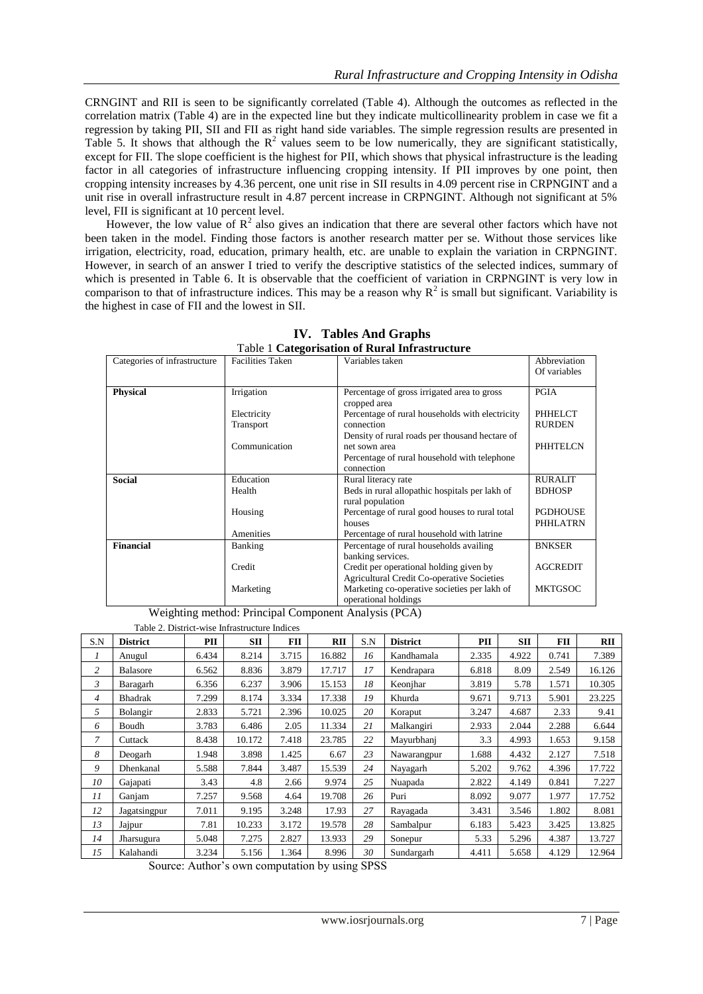CRNGINT and RII is seen to be significantly correlated (Table 4). Although the outcomes as reflected in the correlation matrix (Table 4) are in the expected line but they indicate multicollinearity problem in case we fit a regression by taking PII, SII and FII as right hand side variables. The simple regression results are presented in Table 5. It shows that although the  $R^2$  values seem to be low numerically, they are significant statistically, except for FII. The slope coefficient is the highest for PII, which shows that physical infrastructure is the leading factor in all categories of infrastructure influencing cropping intensity. If PII improves by one point, then cropping intensity increases by 4.36 percent, one unit rise in SII results in 4.09 percent rise in CRPNGINT and a unit rise in overall infrastructure result in 4.87 percent increase in CRPNGINT. Although not significant at 5% level, FII is significant at 10 percent level.

However, the low value of  $R^2$  also gives an indication that there are several other factors which have not been taken in the model. Finding those factors is another research matter per se. Without those services like irrigation, electricity, road, education, primary health, etc. are unable to explain the variation in CRPNGINT. However, in search of an answer I tried to verify the descriptive statistics of the selected indices, summary of which is presented in Table 6. It is observable that the coefficient of variation in CRPNGINT is very low in comparison to that of infrastructure indices. This may be a reason why  $R^2$  is small but significant. Variability is the highest in case of FII and the lowest in SII.

| Categories of infrastructure | <b>Facilities Taken</b>  | Variables taken                                                                                                               | Abbreviation<br>Of variables       |
|------------------------------|--------------------------|-------------------------------------------------------------------------------------------------------------------------------|------------------------------------|
| <b>Physical</b>              | Irrigation               | Percentage of gross irrigated area to gross<br>cropped area                                                                   | <b>PGIA</b>                        |
|                              | Electricity<br>Transport | Percentage of rural households with electricity<br>connection                                                                 | PHHELCT<br><b>RURDEN</b>           |
|                              | Communication            | Density of rural roads per thousand hectare of<br>net sown area<br>Percentage of rural household with telephone<br>connection | <b>PHHTELCN</b>                    |
| <b>Social</b>                | Education                | Rural literacy rate                                                                                                           | <b>RURALIT</b>                     |
|                              | Health                   | Beds in rural allopathic hospitals per lakh of<br>rural population                                                            | <b>BDHOSP</b>                      |
|                              | Housing                  | Percentage of rural good houses to rural total<br>houses                                                                      | <b>PGDHOUSE</b><br><b>PHHLATRN</b> |
|                              | Amenities                | Percentage of rural household with latrine                                                                                    |                                    |
| <b>Financial</b>             | Banking                  | Percentage of rural households availing<br>banking services.                                                                  | <b>BNKSER</b>                      |
|                              | Credit                   | Credit per operational holding given by<br><b>Agricultural Credit Co-operative Societies</b>                                  | <b>AGCREDIT</b>                    |
|                              | Marketing                | Marketing co-operative societies per lakh of<br>operational holdings                                                          | <b>MKTGSOC</b>                     |

**IV. Tables And Graphs** Table 1 **Categorisation of Rural Infrastructure**

Weighting method: Principal Component Analysis (PCA)

|                | Table 2. District-wise Infrastructure Indices |       |        |       |            |     |                 |       |            |       |            |
|----------------|-----------------------------------------------|-------|--------|-------|------------|-----|-----------------|-------|------------|-------|------------|
| S.N            | <b>District</b>                               | PII   | SП     | FII   | <b>RII</b> | S.N | <b>District</b> | PII   | <b>SII</b> | FII   | <b>RII</b> |
| 1              | Anugul                                        | 6.434 | 8.214  | 3.715 | 16.882     | 16  | Kandhamala      | 2.335 | 4.922      | 0.741 | 7.389      |
| $\overline{c}$ | <b>Balasore</b>                               | 6.562 | 8.836  | 3.879 | 17.717     | 17  | Kendrapara      | 6.818 | 8.09       | 2.549 | 16.126     |
| 3              | Baragarh                                      | 6.356 | 6.237  | 3.906 | 15.153     | 18  | Keonjhar        | 3.819 | 5.78       | 1.571 | 10.305     |
| $\overline{4}$ | Bhadrak                                       | 7.299 | 8.174  | 3.334 | 17.338     | 19  | Khurda          | 9.671 | 9.713      | 5.901 | 23.225     |
| 5              | Bolangir                                      | 2.833 | 5.721  | 2.396 | 10.025     | 20  | Koraput         | 3.247 | 4.687      | 2.33  | 9.41       |
| 6              | Boudh                                         | 3.783 | 6.486  | 2.05  | 11.334     | 21  | Malkangiri      | 2.933 | 2.044      | 2.288 | 6.644      |
| 7              | Cuttack                                       | 8.438 | 10.172 | 7.418 | 23.785     | 22  | Mayurbhanj      | 3.3   | 4.993      | 1.653 | 9.158      |
| 8              | Deogarh                                       | 1.948 | 3.898  | 1.425 | 6.67       | 23  | Nawarangpur     | 1.688 | 4.432      | 2.127 | 7.518      |
| 9              | Dhenkanal                                     | 5.588 | 7.844  | 3.487 | 15.539     | 24  | Nayagarh        | 5.202 | 9.762      | 4.396 | 17.722     |
| 10             | Gajapati                                      | 3.43  | 4.8    | 2.66  | 9.974      | 25  | Nuapada         | 2.822 | 4.149      | 0.841 | 7.227      |
| 11             | Ganjam                                        | 7.257 | 9.568  | 4.64  | 19.708     | 26  | Puri            | 8.092 | 9.077      | 1.977 | 17.752     |
| 12             | Jagatsingpur                                  | 7.011 | 9.195  | 3.248 | 17.93      | 27  | Rayagada        | 3.431 | 3.546      | 1.802 | 8.081      |
| 13             | Jajpur                                        | 7.81  | 10.233 | 3.172 | 19.578     | 28  | Sambalpur       | 6.183 | 5.423      | 3.425 | 13.825     |
| 14             | Jharsugura                                    | 5.048 | 7.275  | 2.827 | 13.933     | 29  | Sonepur         | 5.33  | 5.296      | 4.387 | 13.727     |
| 15             | Kalahandi                                     | 3.234 | 5.156  | 1.364 | 8.996      | 30  | Sundargarh      | 4.411 | 5.658      | 4.129 | 12.964     |

Source: Author's own computation by using SPSS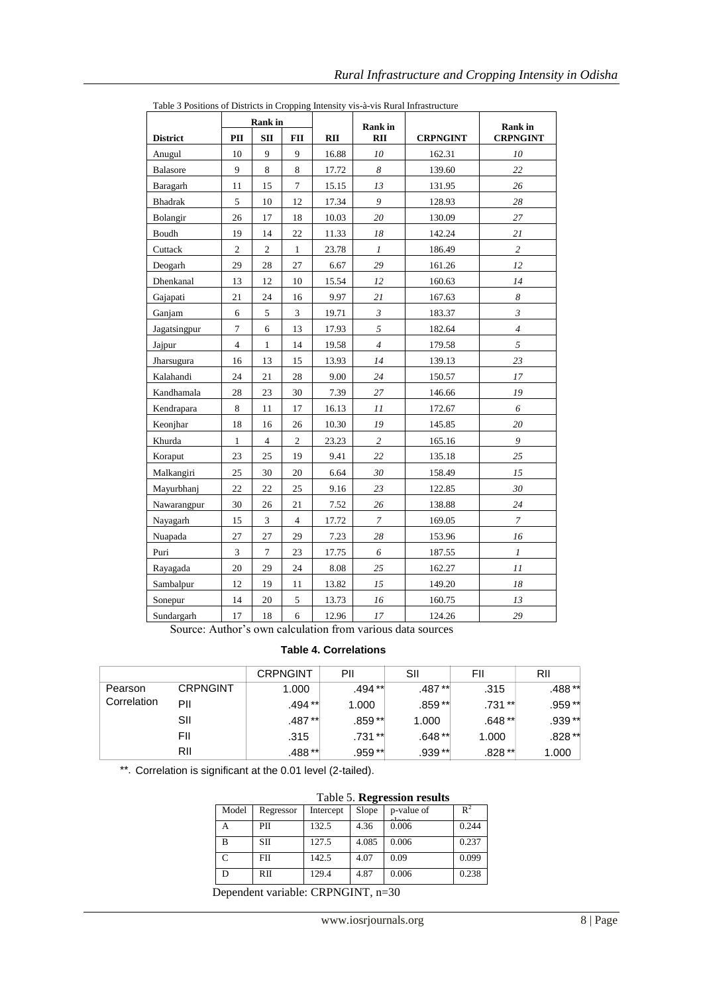|                 | <b>Rank</b> in   |                  |                | <b>Rank</b> in |                  | <b>Rank</b> in  |                  |
|-----------------|------------------|------------------|----------------|----------------|------------------|-----------------|------------------|
| <b>District</b> | PII              | $\mathbf{S}$ II  | <b>FII</b>     | RII            | <b>RII</b>       | <b>CRPNGINT</b> | <b>CRPNGINT</b>  |
| Anugul          | 10               | 9                | 9              | 16.88          | 10               | 162.31          | 10               |
| Balasore        | 9                | 8                | 8              | 17.72          | 8                | 139.60          | 22               |
| Baragarh        | 11               | 15               | $\overline{7}$ | 15.15          | 13               | 131.95          | 26               |
| <b>Bhadrak</b>  | 5                | 10               | 12             | 17.34          | 9                | 128.93          | 28               |
| Bolangir        | 26               | 17               | 18             | 10.03          | $20\,$           | 130.09          | $27\,$           |
| Boudh           | 19               | 14               | $22\,$         | 11.33          | 18               | 142.24          | 21               |
| Cuttack         | $\sqrt{2}$       | $\sqrt{2}$       | $\mathbf{1}$   | 23.78          | $\boldsymbol{l}$ | 186.49          | $\overline{c}$   |
| Deogarh         | 29               | $28\,$           | 27             | 6.67           | 29               | 161.26          | 12               |
| Dhenkanal       | 13               | 12               | 10             | 15.54          | 12               | 160.63          | 14               |
| Gajapati        | 21               | 24               | 16             | 9.97           | $21\,$           | 167.63          | $\boldsymbol{8}$ |
| Ganjam          | 6                | 5                | 3              | 19.71          | $\mathfrak{Z}$   | 183.37          | $\mathfrak{Z}$   |
| Jagatsingpur    | $\boldsymbol{7}$ | 6                | 13             | 17.93          | 5                | 182.64          | $\overline{4}$   |
| Jajpur          | $\overline{4}$   | $\mathbf{1}$     | 14             | 19.58          | $\overline{4}$   | 179.58          | $\sqrt{5}$       |
| Jharsugura      | 16               | 13               | 15             | 13.93          | 14               | 139.13          | 23               |
| Kalahandi       | 24               | 21               | 28             | 9.00           | 24               | 150.57          | $17\,$           |
| Kandhamala      | 28               | 23               | 30             | 7.39           | 27               | 146.66          | ${\it 19}$       |
| Kendrapara      | 8                | 11               | 17             | 16.13          | 11               | 172.67          | 6                |
| Keonjhar        | 18               | 16               | 26             | 10.30          | 19               | 145.85          | $20\,$           |
| Khurda          | $\mathbf{1}$     | $\overline{4}$   | $\overline{c}$ | 23.23          | $\overline{c}$   | 165.16          | 9                |
| Koraput         | 23               | 25               | 19             | 9.41           | 22               | 135.18          | 25               |
| Malkangiri      | 25               | 30               | 20             | 6.64           | 30               | 158.49          | 15               |
| Mayurbhanj      | 22               | 22               | 25             | 9.16           | 23               | 122.85          | 30               |
| Nawarangpur     | 30               | 26               | 21             | 7.52           | 26               | 138.88          | 24               |
| Nayagarh        | 15               | 3                | $\overline{4}$ | 17.72          | $\boldsymbol{7}$ | 169.05          | $\boldsymbol{7}$ |
| Nuapada         | 27               | 27               | 29             | 7.23           | 28               | 153.96          | 16               |
| Puri            | $\mathfrak{Z}$   | $\boldsymbol{7}$ | 23             | 17.75          | 6                | 187.55          | $\boldsymbol{l}$ |
| Rayagada        | 20               | 29               | 24             | 8.08           | 25               | 162.27          | 11               |
| Sambalpur       | 12               | 19               | 11             | 13.82          | 15               | 149.20          | 18               |
| Sonepur         | 14               | $20\,$           | $\sqrt{5}$     | 13.73          | $16\,$           | 160.75          | 13               |
| Sundargarh      | 17               | $18\,$           | 6              | 12.96          | 17               | 124.26          | 29               |

Table 3 Positions of Districts in Cropping Intensity vis-à-vis Rural Infrastructure

Source: Author"s own calculation from various data sources

# **Table 4. Correlations**

|             |                 | <b>CRPNGINT</b> | PII       | SII      | FII      | RII     |
|-------------|-----------------|-----------------|-----------|----------|----------|---------|
| Pearson     | <b>CRPNGINT</b> | 1.000           | .494**    | .487**   | .315     | .488 ** |
| Correlation | PII             | .494 **         | 1.000     | $.859**$ | .731 **  | .959 ** |
|             | SII             | .487**          | .859**    | 1.000    | .648 **  | .939 ** |
|             | FII             | .315            | $.731***$ | .648 **  | 1.000    | .828 ** |
|             | RII             | .488 **         | .959**    | $.939**$ | $.828**$ | 1.000   |

\*\*. Correlation is significant at the 0.01 level (2-tailed).

|                                                             | Table 5. Regression results |           |       |            |       |  |  |  |
|-------------------------------------------------------------|-----------------------------|-----------|-------|------------|-------|--|--|--|
| Model                                                       | Regressor                   | Intercept | Slope | p-value of | $R^2$ |  |  |  |
|                                                             | PII                         | 132.5     | 4.36  | 0.006      | 0.244 |  |  |  |
| R                                                           | <b>SII</b>                  | 127.5     | 4.085 | 0.006      | 0.237 |  |  |  |
| $\subset$                                                   | <b>FII</b>                  | 142.5     | 4.07  | 0.09       | 0.099 |  |  |  |
| D                                                           | RII                         | 129.4     | 4.87  | 0.006      | 0.238 |  |  |  |
| -<br>$\blacksquare$<br>$\blacksquare$<br>$\alpha$<br>$\sim$ |                             |           |       |            |       |  |  |  |

Dependent variable: CRPNGINT, n=30